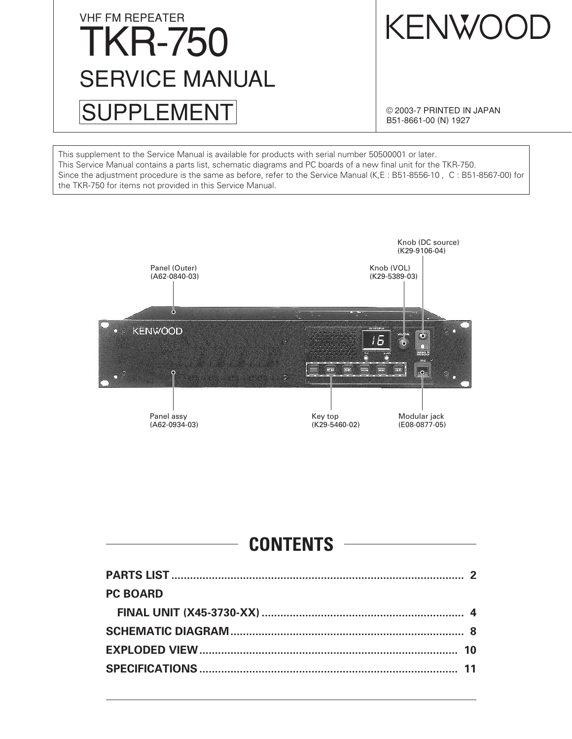# VHF FM REPEATER TKR-750 SUPPLEMENT SERVICE MANUAL

KENWOOD

© 2003-7 PRINTED IN JAPAN B51-8661-00 (N) 1927

This supplement to the Service Manual is available for products with serial number 50500001 or later. This Service Manual contains a parts list, schematic diagrams and PC boards of a new final unit for the TKR-750. Since the adjustment procedure is the same as before, refer to the Service Manual (K,E : B51-8556-10 , C : B51-8567-00) for the TKR-750 for items not provided in this Service Manual.



### **CONTENTS**

| <b>PC BOARD</b> |  |
|-----------------|--|
|                 |  |
|                 |  |
|                 |  |
|                 |  |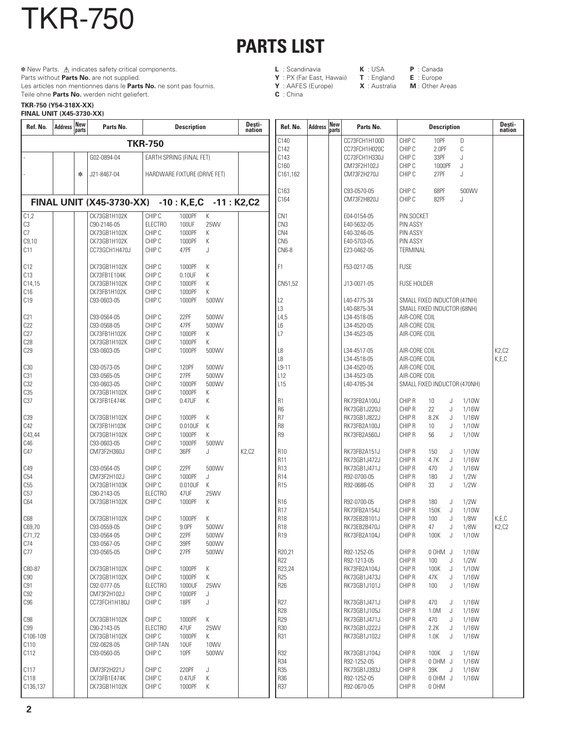## **PARTS LIST**

- **L** : Scandinavia **K** : USA **P** : Canada **Y** : PX (Far East, Hawaii) **T** : England **E** : Europe
- **Y** : AAFES (Europe)
- **C** : China

**TKR-750 (Y54-318X-XX)** Teile ohne **Parts No.** werden nicht geliefert.

TKR-750

Parts without **Parts No.** are not supplied.

 **\*** New Parts.  $\triangle$  indicates safety critical components.

Les articles non mentionnes dans le **Parts No.** ne sont pas fournis.

| <b>FINAL UNIT (X45-3730-XX)</b> |
|---------------------------------|
|---------------------------------|

| C140<br>CHIP C<br>10PF<br>D<br>CC73FCH1H100D<br><b>TKR-750</b><br>C142<br>CC73FCH1H020C<br>CHIP C<br>2.0PF<br>C<br>EARTH SPRING (FINAL FET)<br>C143<br>CHIP C<br>33PF<br>G02-0894-04<br>CC73FCH1H330J<br>J.<br>C160<br>CHIP C<br>CM73F2H102J<br>1000PF<br>J<br>∗<br>J21-8467-04<br>HARDWARE FIXTURE (DRIVE FET)<br>C161.162<br>CM73F2H270J<br>CHIP C<br>27PF<br>J<br>C163<br>C93-0570-05<br>CHIP C<br>68PF<br>500WV<br>C164<br>CM73F2H820J<br>CHIP C<br>82PF<br>J.<br><b>FINAL UNIT (X45-3730-XX)</b><br>$-10$ : K,E,C $-11$ : K2,C2<br>CHIP C<br>К<br>C1,2<br>CK73GB1H102K<br>1000PF<br>CN <sub>1</sub><br>PIN SOCKET<br>E04-0154-05<br>C3<br><b>ELECTRO</b><br>CN <sub>3</sub><br>C90-2146-05<br>100UF<br>25WV<br>E40-5632-05<br><b>PIN ASSY</b><br>C7<br>CHIP C<br>1000PF<br>CN4<br><b>PIN ASSY</b><br>CK73GB1H102K<br>К<br>E40-3246-05<br>C9,10<br>CHIP C<br>CN <sub>5</sub><br><b>PIN ASSY</b><br>CK73GB1H102K<br>1000PF<br>Κ<br>E40-5703-05<br>CHIP C<br>47PF<br>CN6-8<br>C11<br>CC73GCH1H470J<br>J<br>E23-0462-05<br>TERMINAL<br><b>FUSE</b><br>C12<br>CK73GB1H102K<br>CHIP C<br>1000PF<br>К<br>F1<br>F53-0217-05<br>C13<br>CK73FB1E104K<br>CHIP C<br>0.10UF<br>Κ<br>CHIP C<br>К<br>C14,15<br>CK73GB1H102K<br>1000PF<br>CN51,52<br>J13-0071-05<br><b>FUSE HOLDER</b><br>C16<br>CHIP C<br>CK73FB1H102K<br>1000PF<br>Κ<br>CHIP C<br>C <sub>19</sub><br>C93-0603-05<br>1000PF<br>500WV<br>L2<br>SMALL FIXED INDUCTOR (47NH)<br>L40-4775-34<br>L3<br>L40-6875-34<br>SMALL FIXED INDUCTOR (68NH)<br>C21<br>C93-0564-05<br>CHIP C<br>22PF<br>500WV<br>L4,5<br>L34-4518-05<br>AIR-CORE COIL<br>C22<br>AIR-CORE COIL<br>C93-0568-05<br>CHIP C<br>47PF<br>500WV<br>L6<br>L34-4520-05<br>C27<br>CHIP C<br>L7<br>CK73FB1H102K<br>1000PF<br>K<br>L34-4523-05<br>AIR-CORE COIL<br>C28<br>CK73GB1H102K<br>CHIP C<br>1000PF<br>Κ<br>CHIP C<br>K2,C2<br>C29<br>C93-0603-05<br>1000PF<br>500WV<br>L8<br>L34-4517-05<br>AIR-CORE COIL<br>L8<br>K,E,C<br>L34-4518-05<br>AIR-CORE COIL<br>$L9-11$<br>L34-4520-05<br>C30<br>C93-0573-05<br>CHIP C<br>120PF<br>500WV<br>AIR-CORE COIL<br>C31<br>CHIP C<br>27PF<br>L12<br>L34-4523-05<br>C93-0565-05<br>500WV<br>AIR-CORE COIL<br>C <sub>32</sub><br>CHIP C<br>L <sub>15</sub><br>C93-0603-05<br>1000PF<br>500WV<br>L40-4785-34<br>SMALL FIXED INDUCTOR (470NH)<br>C35<br>CHIP C<br>CK73GB1H102K<br>1000PF<br>Κ<br>C <sub>37</sub><br>CHIP C<br>0.47UF<br>CHIP R<br>CK73FB1E474K<br>K<br><b>R1</b><br>RK73FB2A100J<br>1/10W<br>10<br>J<br>R <sub>6</sub><br>CHIP R<br>RK73GB1J220J<br>22<br>J<br>1/16W<br>R <sub>7</sub><br>CHIP R<br>C39<br>CK73GB1H102K<br>CHIP C<br>1000PF<br>К<br>RK73GB1J822J<br>8.2K<br>J<br>1/16W<br>C42<br>CHIP C<br>К<br>R <sub>8</sub><br>CHIP R<br>CK73FB1H103K<br>0.010UF<br>RK73FB2A100J<br>J<br>1/10W<br>10 <sup>1</sup><br>CHIP C<br>1000PF<br>R <sub>9</sub><br>1/10W<br>C43,44<br>CK73GB1H102K<br>Κ<br>RK73FB2A560J<br>CHIP R<br>56<br>J<br>C46<br>CHIP C<br>C93-0603-05<br>1000PF<br>500WV<br>C47<br>CHIP C<br>K2,C2<br>CM73F2H360J<br>36PF<br>J<br><b>R10</b><br>RK73FB2A151J<br>CHIP R<br>150<br>J<br>1/10W<br><b>R11</b><br>CHIP R<br>RK73GB1J472J<br>4.7K<br>J<br>1/16W<br>22PF<br><b>R13</b><br>RK73GB1J471J<br>CHIP R<br>1/16W<br>C49<br>C93-0564-05<br>CHIP C<br>500WV<br>470<br>J<br>C54<br>CM73F2H102J<br>CHIP C<br><b>R14</b><br>R92-0700-05<br>1000PF<br>J<br>CHIP R<br>180<br>J<br>1/2W<br>C55<br>CHIP C<br>0.010UF<br>K<br><b>R15</b><br>CK73GB1H103K<br>R92-0686-05<br>CHIP R<br>33<br>J<br>1/2W<br>C57<br>C90-2143-05<br><b>ELECTRO</b><br>47UF<br>25WV<br>K<br>C64<br>CK73GB1H102K<br>CHIP C<br>1000PF<br>R <sub>16</sub><br>R92-0700-05<br>CHIP R<br>180<br>1/2W<br>J<br><b>R17</b><br>RK73FB2A154J<br>CHIP R<br>150K<br>J<br>1/10W<br><b>R18</b><br>K,E,C<br>C68<br>CK73GB1H102K<br>CHIP C<br>Κ<br>RK73EB2B101J<br>CHIP R<br>100<br>1/8W<br>1000PF<br>J<br><b>R18</b><br>K2,C2<br>C69,70<br>C93-0559-05<br>CHIP C<br>9.0PF<br>500WV<br>RK73EB2B470J<br>CHIP R<br>47<br>1/8W<br>J<br>C71,72<br>C93-0564-05<br>CHIPC<br>22PF<br>500WV<br>R <sub>19</sub><br>RK73FB2A104J<br>CHIP R<br>1/10W<br>100K<br>$\mathsf{J}$<br>C74<br>C93-0567-05<br>CHIP C<br>39PF<br>500WV<br>C77<br>CHIP C<br>C93-0565-05<br>27PF<br>500WV<br>R20,21<br>CHIP R<br>1/16W<br>R92-1252-05<br>0 OHM J<br>R22<br>R92-1213-05<br>CHIP R<br>1/2W<br>100<br>J<br>R23,24<br>C80-87<br>CK73GB1H102K<br>CHIP C<br>1000PF<br>K<br>RK73FB2A104J<br>CHIP R<br>100K<br>J<br>1/10W<br>R <sub>25</sub><br>C90<br>CK73GB1H102K<br>CHIP C<br>1000PF<br>K<br>RK73GB1J473J<br>CHIP R<br>47K<br>1/16W<br>J<br><b>ELECTRO</b><br>R26<br>C91<br>C92-0777-05<br>1000UF<br><b>25WV</b><br>RK73GB1J101J<br>CHIP R<br>1/16W<br>100<br>J<br>C92<br>CM73F2H102J<br>CHIP C<br>1000PF<br>J<br>R27<br>C <sub>96</sub><br>CC73FCH1H180J<br>CHIP C<br>18PF<br>J<br>RK73GB1J471J<br>CHIP R<br>1/16W<br>470<br>J<br><b>R28</b><br>RK73GB1J105J<br>CHIP R<br>J<br>1/16W<br>1.0M<br><b>R29</b><br>C98<br>CHIP C<br>1000PF<br>К<br>RK73GB1J471J<br>CHIP R<br>470<br>1/16W<br>CK73GB1H102K<br>J<br>R30<br><b>C99</b><br>C90-2143-05<br><b>ELECTRO</b><br>47UF<br>25WV<br>RK73GB1J222J<br>CHIP R<br>2.2K<br>1/16W<br>J<br>CHIP C<br>R31<br>C106-109<br>CK73GB1H102K<br>1000PF<br>K<br>RK73GB1J102J<br>CHIP R<br>1/16W<br>1.0K<br>J<br>C110<br>C92-0628-05<br>CHIP-TAN<br>10UF<br>10WV<br>C112<br>C93-0560-05<br>CHIP C<br>10PF<br>500WV<br>R32<br>CHIP R<br>RK73GB1J104J<br>100K<br>1/16W<br>J<br><b>R34</b><br>R92-1252-05<br>CHIP R<br>0 OHM J<br>1/16W<br><b>R35</b><br>C117<br>CHIP C<br>220PF<br>RK73GB1J393J<br>CHIP R<br>39K<br>1/16W<br>CM73F2H221J<br>J<br>J<br>R36<br>C118<br>CK73FB1E474K<br>CHIP C<br>0.47UF<br>К<br>R92-1252-05<br>CHIP R<br>U MHO0<br>1/16W<br>R37<br>C136,137<br>CK73GB1H102K<br>CHIP C<br>1000PF<br>К<br>R92-0670-05<br>CHIP R<br>0 OHM | Ref. No. | <b>Address</b> | <b>New</b><br>parts | Parts No. | <b>Description</b> | Desti-<br>nation | Ref. No. | <b>Address</b> | <b>New</b><br>parts | Parts No. | <b>Description</b> | Desti-<br>nation |
|--------------------------------------------------------------------------------------------------------------------------------------------------------------------------------------------------------------------------------------------------------------------------------------------------------------------------------------------------------------------------------------------------------------------------------------------------------------------------------------------------------------------------------------------------------------------------------------------------------------------------------------------------------------------------------------------------------------------------------------------------------------------------------------------------------------------------------------------------------------------------------------------------------------------------------------------------------------------------------------------------------------------------------------------------------------------------------------------------------------------------------------------------------------------------------------------------------------------------------------------------------------------------------------------------------------------------------------------------------------------------------------------------------------------------------------------------------------------------------------------------------------------------------------------------------------------------------------------------------------------------------------------------------------------------------------------------------------------------------------------------------------------------------------------------------------------------------------------------------------------------------------------------------------------------------------------------------------------------------------------------------------------------------------------------------------------------------------------------------------------------------------------------------------------------------------------------------------------------------------------------------------------------------------------------------------------------------------------------------------------------------------------------------------------------------------------------------------------------------------------------------------------------------------------------------------------------------------------------------------------------------------------------------------------------------------------------------------------------------------------------------------------------------------------------------------------------------------------------------------------------------------------------------------------------------------------------------------------------------------------------------------------------------------------------------------------------------------------------------------------------------------------------------------------------------------------------------------------------------------------------------------------------------------------------------------------------------------------------------------------------------------------------------------------------------------------------------------------------------------------------------------------------------------------------------------------------------------------------------------------------------------------------------------------------------------------------------------------------------------------------------------------------------------------------------------------------------------------------------------------------------------------------------------------------------------------------------------------------------------------------------------------------------------------------------------------------------------------------------------------------------------------------------------------------------------------------------------------------------------------------------------------------------------------------------------------------------------------------------------------------------------------------------------------------------------------------------------------------------------------------------------------------------------------------------------------------------------------------------------------------------------------------------------------------------------------------------------------------------------------------------------------------------------------------------------------------------------------------------------------------------------------------------------------------------------------------------------------------------------------------------------------------------------------------------------------------------------------------------------------------------------------------------------------------------------------------------------------------------------------------------------------------------------------------------------------------------------------------------------------------------------------------------------------------------------------------------------------------------------------------------------------------------------------------------------------------------------------------------------------------------------------------------------------------------------------------------------------------------------------------------------------------------------------|----------|----------------|---------------------|-----------|--------------------|------------------|----------|----------------|---------------------|-----------|--------------------|------------------|
|                                                                                                                                                                                                                                                                                                                                                                                                                                                                                                                                                                                                                                                                                                                                                                                                                                                                                                                                                                                                                                                                                                                                                                                                                                                                                                                                                                                                                                                                                                                                                                                                                                                                                                                                                                                                                                                                                                                                                                                                                                                                                                                                                                                                                                                                                                                                                                                                                                                                                                                                                                                                                                                                                                                                                                                                                                                                                                                                                                                                                                                                                                                                                                                                                                                                                                                                                                                                                                                                                                                                                                                                                                                                                                                                                                                                                                                                                                                                                                                                                                                                                                                                                                                                                                                                                                                                                                                                                                                                                                                                                                                                                                                                                                                                                                                                                                                                                                                                                                                                                                                                                                                                                                                                                                                                                                                                                                                                                                                                                                                                                                                                                                                                                                                                                                                            |          |                |                     |           |                    |                  |          |                |                     |           |                    |                  |
|                                                                                                                                                                                                                                                                                                                                                                                                                                                                                                                                                                                                                                                                                                                                                                                                                                                                                                                                                                                                                                                                                                                                                                                                                                                                                                                                                                                                                                                                                                                                                                                                                                                                                                                                                                                                                                                                                                                                                                                                                                                                                                                                                                                                                                                                                                                                                                                                                                                                                                                                                                                                                                                                                                                                                                                                                                                                                                                                                                                                                                                                                                                                                                                                                                                                                                                                                                                                                                                                                                                                                                                                                                                                                                                                                                                                                                                                                                                                                                                                                                                                                                                                                                                                                                                                                                                                                                                                                                                                                                                                                                                                                                                                                                                                                                                                                                                                                                                                                                                                                                                                                                                                                                                                                                                                                                                                                                                                                                                                                                                                                                                                                                                                                                                                                                                            |          |                |                     |           |                    |                  |          |                |                     |           |                    |                  |
|                                                                                                                                                                                                                                                                                                                                                                                                                                                                                                                                                                                                                                                                                                                                                                                                                                                                                                                                                                                                                                                                                                                                                                                                                                                                                                                                                                                                                                                                                                                                                                                                                                                                                                                                                                                                                                                                                                                                                                                                                                                                                                                                                                                                                                                                                                                                                                                                                                                                                                                                                                                                                                                                                                                                                                                                                                                                                                                                                                                                                                                                                                                                                                                                                                                                                                                                                                                                                                                                                                                                                                                                                                                                                                                                                                                                                                                                                                                                                                                                                                                                                                                                                                                                                                                                                                                                                                                                                                                                                                                                                                                                                                                                                                                                                                                                                                                                                                                                                                                                                                                                                                                                                                                                                                                                                                                                                                                                                                                                                                                                                                                                                                                                                                                                                                                            |          |                |                     |           |                    |                  |          |                |                     |           |                    |                  |
|                                                                                                                                                                                                                                                                                                                                                                                                                                                                                                                                                                                                                                                                                                                                                                                                                                                                                                                                                                                                                                                                                                                                                                                                                                                                                                                                                                                                                                                                                                                                                                                                                                                                                                                                                                                                                                                                                                                                                                                                                                                                                                                                                                                                                                                                                                                                                                                                                                                                                                                                                                                                                                                                                                                                                                                                                                                                                                                                                                                                                                                                                                                                                                                                                                                                                                                                                                                                                                                                                                                                                                                                                                                                                                                                                                                                                                                                                                                                                                                                                                                                                                                                                                                                                                                                                                                                                                                                                                                                                                                                                                                                                                                                                                                                                                                                                                                                                                                                                                                                                                                                                                                                                                                                                                                                                                                                                                                                                                                                                                                                                                                                                                                                                                                                                                                            |          |                |                     |           |                    |                  |          |                |                     |           |                    |                  |
|                                                                                                                                                                                                                                                                                                                                                                                                                                                                                                                                                                                                                                                                                                                                                                                                                                                                                                                                                                                                                                                                                                                                                                                                                                                                                                                                                                                                                                                                                                                                                                                                                                                                                                                                                                                                                                                                                                                                                                                                                                                                                                                                                                                                                                                                                                                                                                                                                                                                                                                                                                                                                                                                                                                                                                                                                                                                                                                                                                                                                                                                                                                                                                                                                                                                                                                                                                                                                                                                                                                                                                                                                                                                                                                                                                                                                                                                                                                                                                                                                                                                                                                                                                                                                                                                                                                                                                                                                                                                                                                                                                                                                                                                                                                                                                                                                                                                                                                                                                                                                                                                                                                                                                                                                                                                                                                                                                                                                                                                                                                                                                                                                                                                                                                                                                                            |          |                |                     |           |                    |                  |          |                |                     |           |                    |                  |
|                                                                                                                                                                                                                                                                                                                                                                                                                                                                                                                                                                                                                                                                                                                                                                                                                                                                                                                                                                                                                                                                                                                                                                                                                                                                                                                                                                                                                                                                                                                                                                                                                                                                                                                                                                                                                                                                                                                                                                                                                                                                                                                                                                                                                                                                                                                                                                                                                                                                                                                                                                                                                                                                                                                                                                                                                                                                                                                                                                                                                                                                                                                                                                                                                                                                                                                                                                                                                                                                                                                                                                                                                                                                                                                                                                                                                                                                                                                                                                                                                                                                                                                                                                                                                                                                                                                                                                                                                                                                                                                                                                                                                                                                                                                                                                                                                                                                                                                                                                                                                                                                                                                                                                                                                                                                                                                                                                                                                                                                                                                                                                                                                                                                                                                                                                                            |          |                |                     |           |                    |                  |          |                |                     |           |                    |                  |
|                                                                                                                                                                                                                                                                                                                                                                                                                                                                                                                                                                                                                                                                                                                                                                                                                                                                                                                                                                                                                                                                                                                                                                                                                                                                                                                                                                                                                                                                                                                                                                                                                                                                                                                                                                                                                                                                                                                                                                                                                                                                                                                                                                                                                                                                                                                                                                                                                                                                                                                                                                                                                                                                                                                                                                                                                                                                                                                                                                                                                                                                                                                                                                                                                                                                                                                                                                                                                                                                                                                                                                                                                                                                                                                                                                                                                                                                                                                                                                                                                                                                                                                                                                                                                                                                                                                                                                                                                                                                                                                                                                                                                                                                                                                                                                                                                                                                                                                                                                                                                                                                                                                                                                                                                                                                                                                                                                                                                                                                                                                                                                                                                                                                                                                                                                                            |          |                |                     |           |                    |                  |          |                |                     |           |                    |                  |
|                                                                                                                                                                                                                                                                                                                                                                                                                                                                                                                                                                                                                                                                                                                                                                                                                                                                                                                                                                                                                                                                                                                                                                                                                                                                                                                                                                                                                                                                                                                                                                                                                                                                                                                                                                                                                                                                                                                                                                                                                                                                                                                                                                                                                                                                                                                                                                                                                                                                                                                                                                                                                                                                                                                                                                                                                                                                                                                                                                                                                                                                                                                                                                                                                                                                                                                                                                                                                                                                                                                                                                                                                                                                                                                                                                                                                                                                                                                                                                                                                                                                                                                                                                                                                                                                                                                                                                                                                                                                                                                                                                                                                                                                                                                                                                                                                                                                                                                                                                                                                                                                                                                                                                                                                                                                                                                                                                                                                                                                                                                                                                                                                                                                                                                                                                                            |          |                |                     |           |                    |                  |          |                |                     |           |                    |                  |
|                                                                                                                                                                                                                                                                                                                                                                                                                                                                                                                                                                                                                                                                                                                                                                                                                                                                                                                                                                                                                                                                                                                                                                                                                                                                                                                                                                                                                                                                                                                                                                                                                                                                                                                                                                                                                                                                                                                                                                                                                                                                                                                                                                                                                                                                                                                                                                                                                                                                                                                                                                                                                                                                                                                                                                                                                                                                                                                                                                                                                                                                                                                                                                                                                                                                                                                                                                                                                                                                                                                                                                                                                                                                                                                                                                                                                                                                                                                                                                                                                                                                                                                                                                                                                                                                                                                                                                                                                                                                                                                                                                                                                                                                                                                                                                                                                                                                                                                                                                                                                                                                                                                                                                                                                                                                                                                                                                                                                                                                                                                                                                                                                                                                                                                                                                                            |          |                |                     |           |                    |                  |          |                |                     |           |                    |                  |
|                                                                                                                                                                                                                                                                                                                                                                                                                                                                                                                                                                                                                                                                                                                                                                                                                                                                                                                                                                                                                                                                                                                                                                                                                                                                                                                                                                                                                                                                                                                                                                                                                                                                                                                                                                                                                                                                                                                                                                                                                                                                                                                                                                                                                                                                                                                                                                                                                                                                                                                                                                                                                                                                                                                                                                                                                                                                                                                                                                                                                                                                                                                                                                                                                                                                                                                                                                                                                                                                                                                                                                                                                                                                                                                                                                                                                                                                                                                                                                                                                                                                                                                                                                                                                                                                                                                                                                                                                                                                                                                                                                                                                                                                                                                                                                                                                                                                                                                                                                                                                                                                                                                                                                                                                                                                                                                                                                                                                                                                                                                                                                                                                                                                                                                                                                                            |          |                |                     |           |                    |                  |          |                |                     |           |                    |                  |
|                                                                                                                                                                                                                                                                                                                                                                                                                                                                                                                                                                                                                                                                                                                                                                                                                                                                                                                                                                                                                                                                                                                                                                                                                                                                                                                                                                                                                                                                                                                                                                                                                                                                                                                                                                                                                                                                                                                                                                                                                                                                                                                                                                                                                                                                                                                                                                                                                                                                                                                                                                                                                                                                                                                                                                                                                                                                                                                                                                                                                                                                                                                                                                                                                                                                                                                                                                                                                                                                                                                                                                                                                                                                                                                                                                                                                                                                                                                                                                                                                                                                                                                                                                                                                                                                                                                                                                                                                                                                                                                                                                                                                                                                                                                                                                                                                                                                                                                                                                                                                                                                                                                                                                                                                                                                                                                                                                                                                                                                                                                                                                                                                                                                                                                                                                                            |          |                |                     |           |                    |                  |          |                |                     |           |                    |                  |
|                                                                                                                                                                                                                                                                                                                                                                                                                                                                                                                                                                                                                                                                                                                                                                                                                                                                                                                                                                                                                                                                                                                                                                                                                                                                                                                                                                                                                                                                                                                                                                                                                                                                                                                                                                                                                                                                                                                                                                                                                                                                                                                                                                                                                                                                                                                                                                                                                                                                                                                                                                                                                                                                                                                                                                                                                                                                                                                                                                                                                                                                                                                                                                                                                                                                                                                                                                                                                                                                                                                                                                                                                                                                                                                                                                                                                                                                                                                                                                                                                                                                                                                                                                                                                                                                                                                                                                                                                                                                                                                                                                                                                                                                                                                                                                                                                                                                                                                                                                                                                                                                                                                                                                                                                                                                                                                                                                                                                                                                                                                                                                                                                                                                                                                                                                                            |          |                |                     |           |                    |                  |          |                |                     |           |                    |                  |
|                                                                                                                                                                                                                                                                                                                                                                                                                                                                                                                                                                                                                                                                                                                                                                                                                                                                                                                                                                                                                                                                                                                                                                                                                                                                                                                                                                                                                                                                                                                                                                                                                                                                                                                                                                                                                                                                                                                                                                                                                                                                                                                                                                                                                                                                                                                                                                                                                                                                                                                                                                                                                                                                                                                                                                                                                                                                                                                                                                                                                                                                                                                                                                                                                                                                                                                                                                                                                                                                                                                                                                                                                                                                                                                                                                                                                                                                                                                                                                                                                                                                                                                                                                                                                                                                                                                                                                                                                                                                                                                                                                                                                                                                                                                                                                                                                                                                                                                                                                                                                                                                                                                                                                                                                                                                                                                                                                                                                                                                                                                                                                                                                                                                                                                                                                                            |          |                |                     |           |                    |                  |          |                |                     |           |                    |                  |
|                                                                                                                                                                                                                                                                                                                                                                                                                                                                                                                                                                                                                                                                                                                                                                                                                                                                                                                                                                                                                                                                                                                                                                                                                                                                                                                                                                                                                                                                                                                                                                                                                                                                                                                                                                                                                                                                                                                                                                                                                                                                                                                                                                                                                                                                                                                                                                                                                                                                                                                                                                                                                                                                                                                                                                                                                                                                                                                                                                                                                                                                                                                                                                                                                                                                                                                                                                                                                                                                                                                                                                                                                                                                                                                                                                                                                                                                                                                                                                                                                                                                                                                                                                                                                                                                                                                                                                                                                                                                                                                                                                                                                                                                                                                                                                                                                                                                                                                                                                                                                                                                                                                                                                                                                                                                                                                                                                                                                                                                                                                                                                                                                                                                                                                                                                                            |          |                |                     |           |                    |                  |          |                |                     |           |                    |                  |
|                                                                                                                                                                                                                                                                                                                                                                                                                                                                                                                                                                                                                                                                                                                                                                                                                                                                                                                                                                                                                                                                                                                                                                                                                                                                                                                                                                                                                                                                                                                                                                                                                                                                                                                                                                                                                                                                                                                                                                                                                                                                                                                                                                                                                                                                                                                                                                                                                                                                                                                                                                                                                                                                                                                                                                                                                                                                                                                                                                                                                                                                                                                                                                                                                                                                                                                                                                                                                                                                                                                                                                                                                                                                                                                                                                                                                                                                                                                                                                                                                                                                                                                                                                                                                                                                                                                                                                                                                                                                                                                                                                                                                                                                                                                                                                                                                                                                                                                                                                                                                                                                                                                                                                                                                                                                                                                                                                                                                                                                                                                                                                                                                                                                                                                                                                                            |          |                |                     |           |                    |                  |          |                |                     |           |                    |                  |
|                                                                                                                                                                                                                                                                                                                                                                                                                                                                                                                                                                                                                                                                                                                                                                                                                                                                                                                                                                                                                                                                                                                                                                                                                                                                                                                                                                                                                                                                                                                                                                                                                                                                                                                                                                                                                                                                                                                                                                                                                                                                                                                                                                                                                                                                                                                                                                                                                                                                                                                                                                                                                                                                                                                                                                                                                                                                                                                                                                                                                                                                                                                                                                                                                                                                                                                                                                                                                                                                                                                                                                                                                                                                                                                                                                                                                                                                                                                                                                                                                                                                                                                                                                                                                                                                                                                                                                                                                                                                                                                                                                                                                                                                                                                                                                                                                                                                                                                                                                                                                                                                                                                                                                                                                                                                                                                                                                                                                                                                                                                                                                                                                                                                                                                                                                                            |          |                |                     |           |                    |                  |          |                |                     |           |                    |                  |
|                                                                                                                                                                                                                                                                                                                                                                                                                                                                                                                                                                                                                                                                                                                                                                                                                                                                                                                                                                                                                                                                                                                                                                                                                                                                                                                                                                                                                                                                                                                                                                                                                                                                                                                                                                                                                                                                                                                                                                                                                                                                                                                                                                                                                                                                                                                                                                                                                                                                                                                                                                                                                                                                                                                                                                                                                                                                                                                                                                                                                                                                                                                                                                                                                                                                                                                                                                                                                                                                                                                                                                                                                                                                                                                                                                                                                                                                                                                                                                                                                                                                                                                                                                                                                                                                                                                                                                                                                                                                                                                                                                                                                                                                                                                                                                                                                                                                                                                                                                                                                                                                                                                                                                                                                                                                                                                                                                                                                                                                                                                                                                                                                                                                                                                                                                                            |          |                |                     |           |                    |                  |          |                |                     |           |                    |                  |
|                                                                                                                                                                                                                                                                                                                                                                                                                                                                                                                                                                                                                                                                                                                                                                                                                                                                                                                                                                                                                                                                                                                                                                                                                                                                                                                                                                                                                                                                                                                                                                                                                                                                                                                                                                                                                                                                                                                                                                                                                                                                                                                                                                                                                                                                                                                                                                                                                                                                                                                                                                                                                                                                                                                                                                                                                                                                                                                                                                                                                                                                                                                                                                                                                                                                                                                                                                                                                                                                                                                                                                                                                                                                                                                                                                                                                                                                                                                                                                                                                                                                                                                                                                                                                                                                                                                                                                                                                                                                                                                                                                                                                                                                                                                                                                                                                                                                                                                                                                                                                                                                                                                                                                                                                                                                                                                                                                                                                                                                                                                                                                                                                                                                                                                                                                                            |          |                |                     |           |                    |                  |          |                |                     |           |                    |                  |
|                                                                                                                                                                                                                                                                                                                                                                                                                                                                                                                                                                                                                                                                                                                                                                                                                                                                                                                                                                                                                                                                                                                                                                                                                                                                                                                                                                                                                                                                                                                                                                                                                                                                                                                                                                                                                                                                                                                                                                                                                                                                                                                                                                                                                                                                                                                                                                                                                                                                                                                                                                                                                                                                                                                                                                                                                                                                                                                                                                                                                                                                                                                                                                                                                                                                                                                                                                                                                                                                                                                                                                                                                                                                                                                                                                                                                                                                                                                                                                                                                                                                                                                                                                                                                                                                                                                                                                                                                                                                                                                                                                                                                                                                                                                                                                                                                                                                                                                                                                                                                                                                                                                                                                                                                                                                                                                                                                                                                                                                                                                                                                                                                                                                                                                                                                                            |          |                |                     |           |                    |                  |          |                |                     |           |                    |                  |
|                                                                                                                                                                                                                                                                                                                                                                                                                                                                                                                                                                                                                                                                                                                                                                                                                                                                                                                                                                                                                                                                                                                                                                                                                                                                                                                                                                                                                                                                                                                                                                                                                                                                                                                                                                                                                                                                                                                                                                                                                                                                                                                                                                                                                                                                                                                                                                                                                                                                                                                                                                                                                                                                                                                                                                                                                                                                                                                                                                                                                                                                                                                                                                                                                                                                                                                                                                                                                                                                                                                                                                                                                                                                                                                                                                                                                                                                                                                                                                                                                                                                                                                                                                                                                                                                                                                                                                                                                                                                                                                                                                                                                                                                                                                                                                                                                                                                                                                                                                                                                                                                                                                                                                                                                                                                                                                                                                                                                                                                                                                                                                                                                                                                                                                                                                                            |          |                |                     |           |                    |                  |          |                |                     |           |                    |                  |
|                                                                                                                                                                                                                                                                                                                                                                                                                                                                                                                                                                                                                                                                                                                                                                                                                                                                                                                                                                                                                                                                                                                                                                                                                                                                                                                                                                                                                                                                                                                                                                                                                                                                                                                                                                                                                                                                                                                                                                                                                                                                                                                                                                                                                                                                                                                                                                                                                                                                                                                                                                                                                                                                                                                                                                                                                                                                                                                                                                                                                                                                                                                                                                                                                                                                                                                                                                                                                                                                                                                                                                                                                                                                                                                                                                                                                                                                                                                                                                                                                                                                                                                                                                                                                                                                                                                                                                                                                                                                                                                                                                                                                                                                                                                                                                                                                                                                                                                                                                                                                                                                                                                                                                                                                                                                                                                                                                                                                                                                                                                                                                                                                                                                                                                                                                                            |          |                |                     |           |                    |                  |          |                |                     |           |                    |                  |
|                                                                                                                                                                                                                                                                                                                                                                                                                                                                                                                                                                                                                                                                                                                                                                                                                                                                                                                                                                                                                                                                                                                                                                                                                                                                                                                                                                                                                                                                                                                                                                                                                                                                                                                                                                                                                                                                                                                                                                                                                                                                                                                                                                                                                                                                                                                                                                                                                                                                                                                                                                                                                                                                                                                                                                                                                                                                                                                                                                                                                                                                                                                                                                                                                                                                                                                                                                                                                                                                                                                                                                                                                                                                                                                                                                                                                                                                                                                                                                                                                                                                                                                                                                                                                                                                                                                                                                                                                                                                                                                                                                                                                                                                                                                                                                                                                                                                                                                                                                                                                                                                                                                                                                                                                                                                                                                                                                                                                                                                                                                                                                                                                                                                                                                                                                                            |          |                |                     |           |                    |                  |          |                |                     |           |                    |                  |
|                                                                                                                                                                                                                                                                                                                                                                                                                                                                                                                                                                                                                                                                                                                                                                                                                                                                                                                                                                                                                                                                                                                                                                                                                                                                                                                                                                                                                                                                                                                                                                                                                                                                                                                                                                                                                                                                                                                                                                                                                                                                                                                                                                                                                                                                                                                                                                                                                                                                                                                                                                                                                                                                                                                                                                                                                                                                                                                                                                                                                                                                                                                                                                                                                                                                                                                                                                                                                                                                                                                                                                                                                                                                                                                                                                                                                                                                                                                                                                                                                                                                                                                                                                                                                                                                                                                                                                                                                                                                                                                                                                                                                                                                                                                                                                                                                                                                                                                                                                                                                                                                                                                                                                                                                                                                                                                                                                                                                                                                                                                                                                                                                                                                                                                                                                                            |          |                |                     |           |                    |                  |          |                |                     |           |                    |                  |
|                                                                                                                                                                                                                                                                                                                                                                                                                                                                                                                                                                                                                                                                                                                                                                                                                                                                                                                                                                                                                                                                                                                                                                                                                                                                                                                                                                                                                                                                                                                                                                                                                                                                                                                                                                                                                                                                                                                                                                                                                                                                                                                                                                                                                                                                                                                                                                                                                                                                                                                                                                                                                                                                                                                                                                                                                                                                                                                                                                                                                                                                                                                                                                                                                                                                                                                                                                                                                                                                                                                                                                                                                                                                                                                                                                                                                                                                                                                                                                                                                                                                                                                                                                                                                                                                                                                                                                                                                                                                                                                                                                                                                                                                                                                                                                                                                                                                                                                                                                                                                                                                                                                                                                                                                                                                                                                                                                                                                                                                                                                                                                                                                                                                                                                                                                                            |          |                |                     |           |                    |                  |          |                |                     |           |                    |                  |
|                                                                                                                                                                                                                                                                                                                                                                                                                                                                                                                                                                                                                                                                                                                                                                                                                                                                                                                                                                                                                                                                                                                                                                                                                                                                                                                                                                                                                                                                                                                                                                                                                                                                                                                                                                                                                                                                                                                                                                                                                                                                                                                                                                                                                                                                                                                                                                                                                                                                                                                                                                                                                                                                                                                                                                                                                                                                                                                                                                                                                                                                                                                                                                                                                                                                                                                                                                                                                                                                                                                                                                                                                                                                                                                                                                                                                                                                                                                                                                                                                                                                                                                                                                                                                                                                                                                                                                                                                                                                                                                                                                                                                                                                                                                                                                                                                                                                                                                                                                                                                                                                                                                                                                                                                                                                                                                                                                                                                                                                                                                                                                                                                                                                                                                                                                                            |          |                |                     |           |                    |                  |          |                |                     |           |                    |                  |
|                                                                                                                                                                                                                                                                                                                                                                                                                                                                                                                                                                                                                                                                                                                                                                                                                                                                                                                                                                                                                                                                                                                                                                                                                                                                                                                                                                                                                                                                                                                                                                                                                                                                                                                                                                                                                                                                                                                                                                                                                                                                                                                                                                                                                                                                                                                                                                                                                                                                                                                                                                                                                                                                                                                                                                                                                                                                                                                                                                                                                                                                                                                                                                                                                                                                                                                                                                                                                                                                                                                                                                                                                                                                                                                                                                                                                                                                                                                                                                                                                                                                                                                                                                                                                                                                                                                                                                                                                                                                                                                                                                                                                                                                                                                                                                                                                                                                                                                                                                                                                                                                                                                                                                                                                                                                                                                                                                                                                                                                                                                                                                                                                                                                                                                                                                                            |          |                |                     |           |                    |                  |          |                |                     |           |                    |                  |
|                                                                                                                                                                                                                                                                                                                                                                                                                                                                                                                                                                                                                                                                                                                                                                                                                                                                                                                                                                                                                                                                                                                                                                                                                                                                                                                                                                                                                                                                                                                                                                                                                                                                                                                                                                                                                                                                                                                                                                                                                                                                                                                                                                                                                                                                                                                                                                                                                                                                                                                                                                                                                                                                                                                                                                                                                                                                                                                                                                                                                                                                                                                                                                                                                                                                                                                                                                                                                                                                                                                                                                                                                                                                                                                                                                                                                                                                                                                                                                                                                                                                                                                                                                                                                                                                                                                                                                                                                                                                                                                                                                                                                                                                                                                                                                                                                                                                                                                                                                                                                                                                                                                                                                                                                                                                                                                                                                                                                                                                                                                                                                                                                                                                                                                                                                                            |          |                |                     |           |                    |                  |          |                |                     |           |                    |                  |
|                                                                                                                                                                                                                                                                                                                                                                                                                                                                                                                                                                                                                                                                                                                                                                                                                                                                                                                                                                                                                                                                                                                                                                                                                                                                                                                                                                                                                                                                                                                                                                                                                                                                                                                                                                                                                                                                                                                                                                                                                                                                                                                                                                                                                                                                                                                                                                                                                                                                                                                                                                                                                                                                                                                                                                                                                                                                                                                                                                                                                                                                                                                                                                                                                                                                                                                                                                                                                                                                                                                                                                                                                                                                                                                                                                                                                                                                                                                                                                                                                                                                                                                                                                                                                                                                                                                                                                                                                                                                                                                                                                                                                                                                                                                                                                                                                                                                                                                                                                                                                                                                                                                                                                                                                                                                                                                                                                                                                                                                                                                                                                                                                                                                                                                                                                                            |          |                |                     |           |                    |                  |          |                |                     |           |                    |                  |
|                                                                                                                                                                                                                                                                                                                                                                                                                                                                                                                                                                                                                                                                                                                                                                                                                                                                                                                                                                                                                                                                                                                                                                                                                                                                                                                                                                                                                                                                                                                                                                                                                                                                                                                                                                                                                                                                                                                                                                                                                                                                                                                                                                                                                                                                                                                                                                                                                                                                                                                                                                                                                                                                                                                                                                                                                                                                                                                                                                                                                                                                                                                                                                                                                                                                                                                                                                                                                                                                                                                                                                                                                                                                                                                                                                                                                                                                                                                                                                                                                                                                                                                                                                                                                                                                                                                                                                                                                                                                                                                                                                                                                                                                                                                                                                                                                                                                                                                                                                                                                                                                                                                                                                                                                                                                                                                                                                                                                                                                                                                                                                                                                                                                                                                                                                                            |          |                |                     |           |                    |                  |          |                |                     |           |                    |                  |
|                                                                                                                                                                                                                                                                                                                                                                                                                                                                                                                                                                                                                                                                                                                                                                                                                                                                                                                                                                                                                                                                                                                                                                                                                                                                                                                                                                                                                                                                                                                                                                                                                                                                                                                                                                                                                                                                                                                                                                                                                                                                                                                                                                                                                                                                                                                                                                                                                                                                                                                                                                                                                                                                                                                                                                                                                                                                                                                                                                                                                                                                                                                                                                                                                                                                                                                                                                                                                                                                                                                                                                                                                                                                                                                                                                                                                                                                                                                                                                                                                                                                                                                                                                                                                                                                                                                                                                                                                                                                                                                                                                                                                                                                                                                                                                                                                                                                                                                                                                                                                                                                                                                                                                                                                                                                                                                                                                                                                                                                                                                                                                                                                                                                                                                                                                                            |          |                |                     |           |                    |                  |          |                |                     |           |                    |                  |
|                                                                                                                                                                                                                                                                                                                                                                                                                                                                                                                                                                                                                                                                                                                                                                                                                                                                                                                                                                                                                                                                                                                                                                                                                                                                                                                                                                                                                                                                                                                                                                                                                                                                                                                                                                                                                                                                                                                                                                                                                                                                                                                                                                                                                                                                                                                                                                                                                                                                                                                                                                                                                                                                                                                                                                                                                                                                                                                                                                                                                                                                                                                                                                                                                                                                                                                                                                                                                                                                                                                                                                                                                                                                                                                                                                                                                                                                                                                                                                                                                                                                                                                                                                                                                                                                                                                                                                                                                                                                                                                                                                                                                                                                                                                                                                                                                                                                                                                                                                                                                                                                                                                                                                                                                                                                                                                                                                                                                                                                                                                                                                                                                                                                                                                                                                                            |          |                |                     |           |                    |                  |          |                |                     |           |                    |                  |
|                                                                                                                                                                                                                                                                                                                                                                                                                                                                                                                                                                                                                                                                                                                                                                                                                                                                                                                                                                                                                                                                                                                                                                                                                                                                                                                                                                                                                                                                                                                                                                                                                                                                                                                                                                                                                                                                                                                                                                                                                                                                                                                                                                                                                                                                                                                                                                                                                                                                                                                                                                                                                                                                                                                                                                                                                                                                                                                                                                                                                                                                                                                                                                                                                                                                                                                                                                                                                                                                                                                                                                                                                                                                                                                                                                                                                                                                                                                                                                                                                                                                                                                                                                                                                                                                                                                                                                                                                                                                                                                                                                                                                                                                                                                                                                                                                                                                                                                                                                                                                                                                                                                                                                                                                                                                                                                                                                                                                                                                                                                                                                                                                                                                                                                                                                                            |          |                |                     |           |                    |                  |          |                |                     |           |                    |                  |
|                                                                                                                                                                                                                                                                                                                                                                                                                                                                                                                                                                                                                                                                                                                                                                                                                                                                                                                                                                                                                                                                                                                                                                                                                                                                                                                                                                                                                                                                                                                                                                                                                                                                                                                                                                                                                                                                                                                                                                                                                                                                                                                                                                                                                                                                                                                                                                                                                                                                                                                                                                                                                                                                                                                                                                                                                                                                                                                                                                                                                                                                                                                                                                                                                                                                                                                                                                                                                                                                                                                                                                                                                                                                                                                                                                                                                                                                                                                                                                                                                                                                                                                                                                                                                                                                                                                                                                                                                                                                                                                                                                                                                                                                                                                                                                                                                                                                                                                                                                                                                                                                                                                                                                                                                                                                                                                                                                                                                                                                                                                                                                                                                                                                                                                                                                                            |          |                |                     |           |                    |                  |          |                |                     |           |                    |                  |
|                                                                                                                                                                                                                                                                                                                                                                                                                                                                                                                                                                                                                                                                                                                                                                                                                                                                                                                                                                                                                                                                                                                                                                                                                                                                                                                                                                                                                                                                                                                                                                                                                                                                                                                                                                                                                                                                                                                                                                                                                                                                                                                                                                                                                                                                                                                                                                                                                                                                                                                                                                                                                                                                                                                                                                                                                                                                                                                                                                                                                                                                                                                                                                                                                                                                                                                                                                                                                                                                                                                                                                                                                                                                                                                                                                                                                                                                                                                                                                                                                                                                                                                                                                                                                                                                                                                                                                                                                                                                                                                                                                                                                                                                                                                                                                                                                                                                                                                                                                                                                                                                                                                                                                                                                                                                                                                                                                                                                                                                                                                                                                                                                                                                                                                                                                                            |          |                |                     |           |                    |                  |          |                |                     |           |                    |                  |
|                                                                                                                                                                                                                                                                                                                                                                                                                                                                                                                                                                                                                                                                                                                                                                                                                                                                                                                                                                                                                                                                                                                                                                                                                                                                                                                                                                                                                                                                                                                                                                                                                                                                                                                                                                                                                                                                                                                                                                                                                                                                                                                                                                                                                                                                                                                                                                                                                                                                                                                                                                                                                                                                                                                                                                                                                                                                                                                                                                                                                                                                                                                                                                                                                                                                                                                                                                                                                                                                                                                                                                                                                                                                                                                                                                                                                                                                                                                                                                                                                                                                                                                                                                                                                                                                                                                                                                                                                                                                                                                                                                                                                                                                                                                                                                                                                                                                                                                                                                                                                                                                                                                                                                                                                                                                                                                                                                                                                                                                                                                                                                                                                                                                                                                                                                                            |          |                |                     |           |                    |                  |          |                |                     |           |                    |                  |
|                                                                                                                                                                                                                                                                                                                                                                                                                                                                                                                                                                                                                                                                                                                                                                                                                                                                                                                                                                                                                                                                                                                                                                                                                                                                                                                                                                                                                                                                                                                                                                                                                                                                                                                                                                                                                                                                                                                                                                                                                                                                                                                                                                                                                                                                                                                                                                                                                                                                                                                                                                                                                                                                                                                                                                                                                                                                                                                                                                                                                                                                                                                                                                                                                                                                                                                                                                                                                                                                                                                                                                                                                                                                                                                                                                                                                                                                                                                                                                                                                                                                                                                                                                                                                                                                                                                                                                                                                                                                                                                                                                                                                                                                                                                                                                                                                                                                                                                                                                                                                                                                                                                                                                                                                                                                                                                                                                                                                                                                                                                                                                                                                                                                                                                                                                                            |          |                |                     |           |                    |                  |          |                |                     |           |                    |                  |
|                                                                                                                                                                                                                                                                                                                                                                                                                                                                                                                                                                                                                                                                                                                                                                                                                                                                                                                                                                                                                                                                                                                                                                                                                                                                                                                                                                                                                                                                                                                                                                                                                                                                                                                                                                                                                                                                                                                                                                                                                                                                                                                                                                                                                                                                                                                                                                                                                                                                                                                                                                                                                                                                                                                                                                                                                                                                                                                                                                                                                                                                                                                                                                                                                                                                                                                                                                                                                                                                                                                                                                                                                                                                                                                                                                                                                                                                                                                                                                                                                                                                                                                                                                                                                                                                                                                                                                                                                                                                                                                                                                                                                                                                                                                                                                                                                                                                                                                                                                                                                                                                                                                                                                                                                                                                                                                                                                                                                                                                                                                                                                                                                                                                                                                                                                                            |          |                |                     |           |                    |                  |          |                |                     |           |                    |                  |
|                                                                                                                                                                                                                                                                                                                                                                                                                                                                                                                                                                                                                                                                                                                                                                                                                                                                                                                                                                                                                                                                                                                                                                                                                                                                                                                                                                                                                                                                                                                                                                                                                                                                                                                                                                                                                                                                                                                                                                                                                                                                                                                                                                                                                                                                                                                                                                                                                                                                                                                                                                                                                                                                                                                                                                                                                                                                                                                                                                                                                                                                                                                                                                                                                                                                                                                                                                                                                                                                                                                                                                                                                                                                                                                                                                                                                                                                                                                                                                                                                                                                                                                                                                                                                                                                                                                                                                                                                                                                                                                                                                                                                                                                                                                                                                                                                                                                                                                                                                                                                                                                                                                                                                                                                                                                                                                                                                                                                                                                                                                                                                                                                                                                                                                                                                                            |          |                |                     |           |                    |                  |          |                |                     |           |                    |                  |
|                                                                                                                                                                                                                                                                                                                                                                                                                                                                                                                                                                                                                                                                                                                                                                                                                                                                                                                                                                                                                                                                                                                                                                                                                                                                                                                                                                                                                                                                                                                                                                                                                                                                                                                                                                                                                                                                                                                                                                                                                                                                                                                                                                                                                                                                                                                                                                                                                                                                                                                                                                                                                                                                                                                                                                                                                                                                                                                                                                                                                                                                                                                                                                                                                                                                                                                                                                                                                                                                                                                                                                                                                                                                                                                                                                                                                                                                                                                                                                                                                                                                                                                                                                                                                                                                                                                                                                                                                                                                                                                                                                                                                                                                                                                                                                                                                                                                                                                                                                                                                                                                                                                                                                                                                                                                                                                                                                                                                                                                                                                                                                                                                                                                                                                                                                                            |          |                |                     |           |                    |                  |          |                |                     |           |                    |                  |
|                                                                                                                                                                                                                                                                                                                                                                                                                                                                                                                                                                                                                                                                                                                                                                                                                                                                                                                                                                                                                                                                                                                                                                                                                                                                                                                                                                                                                                                                                                                                                                                                                                                                                                                                                                                                                                                                                                                                                                                                                                                                                                                                                                                                                                                                                                                                                                                                                                                                                                                                                                                                                                                                                                                                                                                                                                                                                                                                                                                                                                                                                                                                                                                                                                                                                                                                                                                                                                                                                                                                                                                                                                                                                                                                                                                                                                                                                                                                                                                                                                                                                                                                                                                                                                                                                                                                                                                                                                                                                                                                                                                                                                                                                                                                                                                                                                                                                                                                                                                                                                                                                                                                                                                                                                                                                                                                                                                                                                                                                                                                                                                                                                                                                                                                                                                            |          |                |                     |           |                    |                  |          |                |                     |           |                    |                  |
|                                                                                                                                                                                                                                                                                                                                                                                                                                                                                                                                                                                                                                                                                                                                                                                                                                                                                                                                                                                                                                                                                                                                                                                                                                                                                                                                                                                                                                                                                                                                                                                                                                                                                                                                                                                                                                                                                                                                                                                                                                                                                                                                                                                                                                                                                                                                                                                                                                                                                                                                                                                                                                                                                                                                                                                                                                                                                                                                                                                                                                                                                                                                                                                                                                                                                                                                                                                                                                                                                                                                                                                                                                                                                                                                                                                                                                                                                                                                                                                                                                                                                                                                                                                                                                                                                                                                                                                                                                                                                                                                                                                                                                                                                                                                                                                                                                                                                                                                                                                                                                                                                                                                                                                                                                                                                                                                                                                                                                                                                                                                                                                                                                                                                                                                                                                            |          |                |                     |           |                    |                  |          |                |                     |           |                    |                  |
|                                                                                                                                                                                                                                                                                                                                                                                                                                                                                                                                                                                                                                                                                                                                                                                                                                                                                                                                                                                                                                                                                                                                                                                                                                                                                                                                                                                                                                                                                                                                                                                                                                                                                                                                                                                                                                                                                                                                                                                                                                                                                                                                                                                                                                                                                                                                                                                                                                                                                                                                                                                                                                                                                                                                                                                                                                                                                                                                                                                                                                                                                                                                                                                                                                                                                                                                                                                                                                                                                                                                                                                                                                                                                                                                                                                                                                                                                                                                                                                                                                                                                                                                                                                                                                                                                                                                                                                                                                                                                                                                                                                                                                                                                                                                                                                                                                                                                                                                                                                                                                                                                                                                                                                                                                                                                                                                                                                                                                                                                                                                                                                                                                                                                                                                                                                            |          |                |                     |           |                    |                  |          |                |                     |           |                    |                  |
|                                                                                                                                                                                                                                                                                                                                                                                                                                                                                                                                                                                                                                                                                                                                                                                                                                                                                                                                                                                                                                                                                                                                                                                                                                                                                                                                                                                                                                                                                                                                                                                                                                                                                                                                                                                                                                                                                                                                                                                                                                                                                                                                                                                                                                                                                                                                                                                                                                                                                                                                                                                                                                                                                                                                                                                                                                                                                                                                                                                                                                                                                                                                                                                                                                                                                                                                                                                                                                                                                                                                                                                                                                                                                                                                                                                                                                                                                                                                                                                                                                                                                                                                                                                                                                                                                                                                                                                                                                                                                                                                                                                                                                                                                                                                                                                                                                                                                                                                                                                                                                                                                                                                                                                                                                                                                                                                                                                                                                                                                                                                                                                                                                                                                                                                                                                            |          |                |                     |           |                    |                  |          |                |                     |           |                    |                  |
|                                                                                                                                                                                                                                                                                                                                                                                                                                                                                                                                                                                                                                                                                                                                                                                                                                                                                                                                                                                                                                                                                                                                                                                                                                                                                                                                                                                                                                                                                                                                                                                                                                                                                                                                                                                                                                                                                                                                                                                                                                                                                                                                                                                                                                                                                                                                                                                                                                                                                                                                                                                                                                                                                                                                                                                                                                                                                                                                                                                                                                                                                                                                                                                                                                                                                                                                                                                                                                                                                                                                                                                                                                                                                                                                                                                                                                                                                                                                                                                                                                                                                                                                                                                                                                                                                                                                                                                                                                                                                                                                                                                                                                                                                                                                                                                                                                                                                                                                                                                                                                                                                                                                                                                                                                                                                                                                                                                                                                                                                                                                                                                                                                                                                                                                                                                            |          |                |                     |           |                    |                  |          |                |                     |           |                    |                  |
|                                                                                                                                                                                                                                                                                                                                                                                                                                                                                                                                                                                                                                                                                                                                                                                                                                                                                                                                                                                                                                                                                                                                                                                                                                                                                                                                                                                                                                                                                                                                                                                                                                                                                                                                                                                                                                                                                                                                                                                                                                                                                                                                                                                                                                                                                                                                                                                                                                                                                                                                                                                                                                                                                                                                                                                                                                                                                                                                                                                                                                                                                                                                                                                                                                                                                                                                                                                                                                                                                                                                                                                                                                                                                                                                                                                                                                                                                                                                                                                                                                                                                                                                                                                                                                                                                                                                                                                                                                                                                                                                                                                                                                                                                                                                                                                                                                                                                                                                                                                                                                                                                                                                                                                                                                                                                                                                                                                                                                                                                                                                                                                                                                                                                                                                                                                            |          |                |                     |           |                    |                  |          |                |                     |           |                    |                  |
|                                                                                                                                                                                                                                                                                                                                                                                                                                                                                                                                                                                                                                                                                                                                                                                                                                                                                                                                                                                                                                                                                                                                                                                                                                                                                                                                                                                                                                                                                                                                                                                                                                                                                                                                                                                                                                                                                                                                                                                                                                                                                                                                                                                                                                                                                                                                                                                                                                                                                                                                                                                                                                                                                                                                                                                                                                                                                                                                                                                                                                                                                                                                                                                                                                                                                                                                                                                                                                                                                                                                                                                                                                                                                                                                                                                                                                                                                                                                                                                                                                                                                                                                                                                                                                                                                                                                                                                                                                                                                                                                                                                                                                                                                                                                                                                                                                                                                                                                                                                                                                                                                                                                                                                                                                                                                                                                                                                                                                                                                                                                                                                                                                                                                                                                                                                            |          |                |                     |           |                    |                  |          |                |                     |           |                    |                  |
|                                                                                                                                                                                                                                                                                                                                                                                                                                                                                                                                                                                                                                                                                                                                                                                                                                                                                                                                                                                                                                                                                                                                                                                                                                                                                                                                                                                                                                                                                                                                                                                                                                                                                                                                                                                                                                                                                                                                                                                                                                                                                                                                                                                                                                                                                                                                                                                                                                                                                                                                                                                                                                                                                                                                                                                                                                                                                                                                                                                                                                                                                                                                                                                                                                                                                                                                                                                                                                                                                                                                                                                                                                                                                                                                                                                                                                                                                                                                                                                                                                                                                                                                                                                                                                                                                                                                                                                                                                                                                                                                                                                                                                                                                                                                                                                                                                                                                                                                                                                                                                                                                                                                                                                                                                                                                                                                                                                                                                                                                                                                                                                                                                                                                                                                                                                            |          |                |                     |           |                    |                  |          |                |                     |           |                    |                  |
|                                                                                                                                                                                                                                                                                                                                                                                                                                                                                                                                                                                                                                                                                                                                                                                                                                                                                                                                                                                                                                                                                                                                                                                                                                                                                                                                                                                                                                                                                                                                                                                                                                                                                                                                                                                                                                                                                                                                                                                                                                                                                                                                                                                                                                                                                                                                                                                                                                                                                                                                                                                                                                                                                                                                                                                                                                                                                                                                                                                                                                                                                                                                                                                                                                                                                                                                                                                                                                                                                                                                                                                                                                                                                                                                                                                                                                                                                                                                                                                                                                                                                                                                                                                                                                                                                                                                                                                                                                                                                                                                                                                                                                                                                                                                                                                                                                                                                                                                                                                                                                                                                                                                                                                                                                                                                                                                                                                                                                                                                                                                                                                                                                                                                                                                                                                            |          |                |                     |           |                    |                  |          |                |                     |           |                    |                  |
|                                                                                                                                                                                                                                                                                                                                                                                                                                                                                                                                                                                                                                                                                                                                                                                                                                                                                                                                                                                                                                                                                                                                                                                                                                                                                                                                                                                                                                                                                                                                                                                                                                                                                                                                                                                                                                                                                                                                                                                                                                                                                                                                                                                                                                                                                                                                                                                                                                                                                                                                                                                                                                                                                                                                                                                                                                                                                                                                                                                                                                                                                                                                                                                                                                                                                                                                                                                                                                                                                                                                                                                                                                                                                                                                                                                                                                                                                                                                                                                                                                                                                                                                                                                                                                                                                                                                                                                                                                                                                                                                                                                                                                                                                                                                                                                                                                                                                                                                                                                                                                                                                                                                                                                                                                                                                                                                                                                                                                                                                                                                                                                                                                                                                                                                                                                            |          |                |                     |           |                    |                  |          |                |                     |           |                    |                  |
|                                                                                                                                                                                                                                                                                                                                                                                                                                                                                                                                                                                                                                                                                                                                                                                                                                                                                                                                                                                                                                                                                                                                                                                                                                                                                                                                                                                                                                                                                                                                                                                                                                                                                                                                                                                                                                                                                                                                                                                                                                                                                                                                                                                                                                                                                                                                                                                                                                                                                                                                                                                                                                                                                                                                                                                                                                                                                                                                                                                                                                                                                                                                                                                                                                                                                                                                                                                                                                                                                                                                                                                                                                                                                                                                                                                                                                                                                                                                                                                                                                                                                                                                                                                                                                                                                                                                                                                                                                                                                                                                                                                                                                                                                                                                                                                                                                                                                                                                                                                                                                                                                                                                                                                                                                                                                                                                                                                                                                                                                                                                                                                                                                                                                                                                                                                            |          |                |                     |           |                    |                  |          |                |                     |           |                    |                  |
|                                                                                                                                                                                                                                                                                                                                                                                                                                                                                                                                                                                                                                                                                                                                                                                                                                                                                                                                                                                                                                                                                                                                                                                                                                                                                                                                                                                                                                                                                                                                                                                                                                                                                                                                                                                                                                                                                                                                                                                                                                                                                                                                                                                                                                                                                                                                                                                                                                                                                                                                                                                                                                                                                                                                                                                                                                                                                                                                                                                                                                                                                                                                                                                                                                                                                                                                                                                                                                                                                                                                                                                                                                                                                                                                                                                                                                                                                                                                                                                                                                                                                                                                                                                                                                                                                                                                                                                                                                                                                                                                                                                                                                                                                                                                                                                                                                                                                                                                                                                                                                                                                                                                                                                                                                                                                                                                                                                                                                                                                                                                                                                                                                                                                                                                                                                            |          |                |                     |           |                    |                  |          |                |                     |           |                    |                  |
|                                                                                                                                                                                                                                                                                                                                                                                                                                                                                                                                                                                                                                                                                                                                                                                                                                                                                                                                                                                                                                                                                                                                                                                                                                                                                                                                                                                                                                                                                                                                                                                                                                                                                                                                                                                                                                                                                                                                                                                                                                                                                                                                                                                                                                                                                                                                                                                                                                                                                                                                                                                                                                                                                                                                                                                                                                                                                                                                                                                                                                                                                                                                                                                                                                                                                                                                                                                                                                                                                                                                                                                                                                                                                                                                                                                                                                                                                                                                                                                                                                                                                                                                                                                                                                                                                                                                                                                                                                                                                                                                                                                                                                                                                                                                                                                                                                                                                                                                                                                                                                                                                                                                                                                                                                                                                                                                                                                                                                                                                                                                                                                                                                                                                                                                                                                            |          |                |                     |           |                    |                  |          |                |                     |           |                    |                  |
|                                                                                                                                                                                                                                                                                                                                                                                                                                                                                                                                                                                                                                                                                                                                                                                                                                                                                                                                                                                                                                                                                                                                                                                                                                                                                                                                                                                                                                                                                                                                                                                                                                                                                                                                                                                                                                                                                                                                                                                                                                                                                                                                                                                                                                                                                                                                                                                                                                                                                                                                                                                                                                                                                                                                                                                                                                                                                                                                                                                                                                                                                                                                                                                                                                                                                                                                                                                                                                                                                                                                                                                                                                                                                                                                                                                                                                                                                                                                                                                                                                                                                                                                                                                                                                                                                                                                                                                                                                                                                                                                                                                                                                                                                                                                                                                                                                                                                                                                                                                                                                                                                                                                                                                                                                                                                                                                                                                                                                                                                                                                                                                                                                                                                                                                                                                            |          |                |                     |           |                    |                  |          |                |                     |           |                    |                  |
|                                                                                                                                                                                                                                                                                                                                                                                                                                                                                                                                                                                                                                                                                                                                                                                                                                                                                                                                                                                                                                                                                                                                                                                                                                                                                                                                                                                                                                                                                                                                                                                                                                                                                                                                                                                                                                                                                                                                                                                                                                                                                                                                                                                                                                                                                                                                                                                                                                                                                                                                                                                                                                                                                                                                                                                                                                                                                                                                                                                                                                                                                                                                                                                                                                                                                                                                                                                                                                                                                                                                                                                                                                                                                                                                                                                                                                                                                                                                                                                                                                                                                                                                                                                                                                                                                                                                                                                                                                                                                                                                                                                                                                                                                                                                                                                                                                                                                                                                                                                                                                                                                                                                                                                                                                                                                                                                                                                                                                                                                                                                                                                                                                                                                                                                                                                            |          |                |                     |           |                    |                  |          |                |                     |           |                    |                  |
|                                                                                                                                                                                                                                                                                                                                                                                                                                                                                                                                                                                                                                                                                                                                                                                                                                                                                                                                                                                                                                                                                                                                                                                                                                                                                                                                                                                                                                                                                                                                                                                                                                                                                                                                                                                                                                                                                                                                                                                                                                                                                                                                                                                                                                                                                                                                                                                                                                                                                                                                                                                                                                                                                                                                                                                                                                                                                                                                                                                                                                                                                                                                                                                                                                                                                                                                                                                                                                                                                                                                                                                                                                                                                                                                                                                                                                                                                                                                                                                                                                                                                                                                                                                                                                                                                                                                                                                                                                                                                                                                                                                                                                                                                                                                                                                                                                                                                                                                                                                                                                                                                                                                                                                                                                                                                                                                                                                                                                                                                                                                                                                                                                                                                                                                                                                            |          |                |                     |           |                    |                  |          |                |                     |           |                    |                  |
|                                                                                                                                                                                                                                                                                                                                                                                                                                                                                                                                                                                                                                                                                                                                                                                                                                                                                                                                                                                                                                                                                                                                                                                                                                                                                                                                                                                                                                                                                                                                                                                                                                                                                                                                                                                                                                                                                                                                                                                                                                                                                                                                                                                                                                                                                                                                                                                                                                                                                                                                                                                                                                                                                                                                                                                                                                                                                                                                                                                                                                                                                                                                                                                                                                                                                                                                                                                                                                                                                                                                                                                                                                                                                                                                                                                                                                                                                                                                                                                                                                                                                                                                                                                                                                                                                                                                                                                                                                                                                                                                                                                                                                                                                                                                                                                                                                                                                                                                                                                                                                                                                                                                                                                                                                                                                                                                                                                                                                                                                                                                                                                                                                                                                                                                                                                            |          |                |                     |           |                    |                  |          |                |                     |           |                    |                  |
|                                                                                                                                                                                                                                                                                                                                                                                                                                                                                                                                                                                                                                                                                                                                                                                                                                                                                                                                                                                                                                                                                                                                                                                                                                                                                                                                                                                                                                                                                                                                                                                                                                                                                                                                                                                                                                                                                                                                                                                                                                                                                                                                                                                                                                                                                                                                                                                                                                                                                                                                                                                                                                                                                                                                                                                                                                                                                                                                                                                                                                                                                                                                                                                                                                                                                                                                                                                                                                                                                                                                                                                                                                                                                                                                                                                                                                                                                                                                                                                                                                                                                                                                                                                                                                                                                                                                                                                                                                                                                                                                                                                                                                                                                                                                                                                                                                                                                                                                                                                                                                                                                                                                                                                                                                                                                                                                                                                                                                                                                                                                                                                                                                                                                                                                                                                            |          |                |                     |           |                    |                  |          |                |                     |           |                    |                  |
|                                                                                                                                                                                                                                                                                                                                                                                                                                                                                                                                                                                                                                                                                                                                                                                                                                                                                                                                                                                                                                                                                                                                                                                                                                                                                                                                                                                                                                                                                                                                                                                                                                                                                                                                                                                                                                                                                                                                                                                                                                                                                                                                                                                                                                                                                                                                                                                                                                                                                                                                                                                                                                                                                                                                                                                                                                                                                                                                                                                                                                                                                                                                                                                                                                                                                                                                                                                                                                                                                                                                                                                                                                                                                                                                                                                                                                                                                                                                                                                                                                                                                                                                                                                                                                                                                                                                                                                                                                                                                                                                                                                                                                                                                                                                                                                                                                                                                                                                                                                                                                                                                                                                                                                                                                                                                                                                                                                                                                                                                                                                                                                                                                                                                                                                                                                            |          |                |                     |           |                    |                  |          |                |                     |           |                    |                  |
|                                                                                                                                                                                                                                                                                                                                                                                                                                                                                                                                                                                                                                                                                                                                                                                                                                                                                                                                                                                                                                                                                                                                                                                                                                                                                                                                                                                                                                                                                                                                                                                                                                                                                                                                                                                                                                                                                                                                                                                                                                                                                                                                                                                                                                                                                                                                                                                                                                                                                                                                                                                                                                                                                                                                                                                                                                                                                                                                                                                                                                                                                                                                                                                                                                                                                                                                                                                                                                                                                                                                                                                                                                                                                                                                                                                                                                                                                                                                                                                                                                                                                                                                                                                                                                                                                                                                                                                                                                                                                                                                                                                                                                                                                                                                                                                                                                                                                                                                                                                                                                                                                                                                                                                                                                                                                                                                                                                                                                                                                                                                                                                                                                                                                                                                                                                            |          |                |                     |           |                    |                  |          |                |                     |           |                    |                  |
|                                                                                                                                                                                                                                                                                                                                                                                                                                                                                                                                                                                                                                                                                                                                                                                                                                                                                                                                                                                                                                                                                                                                                                                                                                                                                                                                                                                                                                                                                                                                                                                                                                                                                                                                                                                                                                                                                                                                                                                                                                                                                                                                                                                                                                                                                                                                                                                                                                                                                                                                                                                                                                                                                                                                                                                                                                                                                                                                                                                                                                                                                                                                                                                                                                                                                                                                                                                                                                                                                                                                                                                                                                                                                                                                                                                                                                                                                                                                                                                                                                                                                                                                                                                                                                                                                                                                                                                                                                                                                                                                                                                                                                                                                                                                                                                                                                                                                                                                                                                                                                                                                                                                                                                                                                                                                                                                                                                                                                                                                                                                                                                                                                                                                                                                                                                            |          |                |                     |           |                    |                  |          |                |                     |           |                    |                  |
|                                                                                                                                                                                                                                                                                                                                                                                                                                                                                                                                                                                                                                                                                                                                                                                                                                                                                                                                                                                                                                                                                                                                                                                                                                                                                                                                                                                                                                                                                                                                                                                                                                                                                                                                                                                                                                                                                                                                                                                                                                                                                                                                                                                                                                                                                                                                                                                                                                                                                                                                                                                                                                                                                                                                                                                                                                                                                                                                                                                                                                                                                                                                                                                                                                                                                                                                                                                                                                                                                                                                                                                                                                                                                                                                                                                                                                                                                                                                                                                                                                                                                                                                                                                                                                                                                                                                                                                                                                                                                                                                                                                                                                                                                                                                                                                                                                                                                                                                                                                                                                                                                                                                                                                                                                                                                                                                                                                                                                                                                                                                                                                                                                                                                                                                                                                            |          |                |                     |           |                    |                  |          |                |                     |           |                    |                  |
|                                                                                                                                                                                                                                                                                                                                                                                                                                                                                                                                                                                                                                                                                                                                                                                                                                                                                                                                                                                                                                                                                                                                                                                                                                                                                                                                                                                                                                                                                                                                                                                                                                                                                                                                                                                                                                                                                                                                                                                                                                                                                                                                                                                                                                                                                                                                                                                                                                                                                                                                                                                                                                                                                                                                                                                                                                                                                                                                                                                                                                                                                                                                                                                                                                                                                                                                                                                                                                                                                                                                                                                                                                                                                                                                                                                                                                                                                                                                                                                                                                                                                                                                                                                                                                                                                                                                                                                                                                                                                                                                                                                                                                                                                                                                                                                                                                                                                                                                                                                                                                                                                                                                                                                                                                                                                                                                                                                                                                                                                                                                                                                                                                                                                                                                                                                            |          |                |                     |           |                    |                  |          |                |                     |           |                    |                  |
|                                                                                                                                                                                                                                                                                                                                                                                                                                                                                                                                                                                                                                                                                                                                                                                                                                                                                                                                                                                                                                                                                                                                                                                                                                                                                                                                                                                                                                                                                                                                                                                                                                                                                                                                                                                                                                                                                                                                                                                                                                                                                                                                                                                                                                                                                                                                                                                                                                                                                                                                                                                                                                                                                                                                                                                                                                                                                                                                                                                                                                                                                                                                                                                                                                                                                                                                                                                                                                                                                                                                                                                                                                                                                                                                                                                                                                                                                                                                                                                                                                                                                                                                                                                                                                                                                                                                                                                                                                                                                                                                                                                                                                                                                                                                                                                                                                                                                                                                                                                                                                                                                                                                                                                                                                                                                                                                                                                                                                                                                                                                                                                                                                                                                                                                                                                            |          |                |                     |           |                    |                  |          |                |                     |           |                    |                  |
|                                                                                                                                                                                                                                                                                                                                                                                                                                                                                                                                                                                                                                                                                                                                                                                                                                                                                                                                                                                                                                                                                                                                                                                                                                                                                                                                                                                                                                                                                                                                                                                                                                                                                                                                                                                                                                                                                                                                                                                                                                                                                                                                                                                                                                                                                                                                                                                                                                                                                                                                                                                                                                                                                                                                                                                                                                                                                                                                                                                                                                                                                                                                                                                                                                                                                                                                                                                                                                                                                                                                                                                                                                                                                                                                                                                                                                                                                                                                                                                                                                                                                                                                                                                                                                                                                                                                                                                                                                                                                                                                                                                                                                                                                                                                                                                                                                                                                                                                                                                                                                                                                                                                                                                                                                                                                                                                                                                                                                                                                                                                                                                                                                                                                                                                                                                            |          |                |                     |           |                    |                  |          |                |                     |           |                    |                  |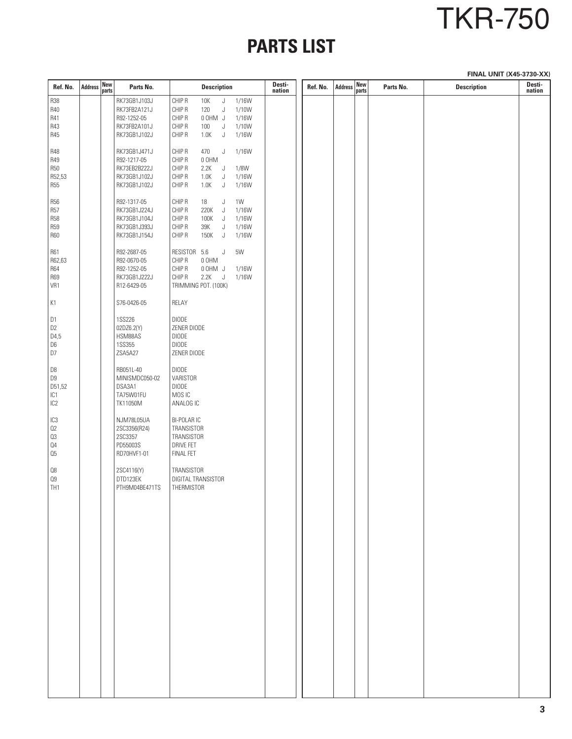# TKR-750

## **PARTS LIST**

**FINAL UNIT (X45-3730-XX)**

| Ref. No.                                                 | <b>Address</b> | New<br>parts | Parts No.                                                                   | <b>Description</b>                                                                                                                                      | Desti-<br>nation | Ref. No. | <b>Address</b> | New<br>parts | Parts No. | <b>Description</b> | Desti-<br>nation |
|----------------------------------------------------------|----------------|--------------|-----------------------------------------------------------------------------|---------------------------------------------------------------------------------------------------------------------------------------------------------|------------------|----------|----------------|--------------|-----------|--------------------|------------------|
| <b>R38</b><br>R40<br>R41<br>R43<br>R45                   |                |              | RK73GB1J103J<br>RK73FB2A121J<br>R92-1252-05<br>RK73FB2A101J<br>RK73GB1J102J | CHIP R<br>10K<br>J<br>1/16W<br>CHIP R<br>120<br>J<br>1/10W<br>CHIP R<br>0 OHM J<br>1/16W<br>CHIP R<br>1/10W<br>100<br>J<br>CHIP R<br>1.0K<br>J<br>1/16W |                  |          |                |              |           |                    |                  |
| <b>R48</b><br><b>R49</b><br>R50<br>R52,53<br><b>R55</b>  |                |              | RK73GB1J471J<br>R92-1217-05<br>RK73EB2B222J<br>RK73GB1J102J<br>RK73GB1J102J | CHIP R<br>1/16W<br>470<br>J<br>CHIP R<br>0 OHM<br>CHIP R<br>2.2K<br>J<br>1/8W<br>CHIP R<br>1.0K<br>1/16W<br>J<br>CHIP R<br>1.0K<br>J<br>1/16W           |                  |          |                |              |           |                    |                  |
| <b>R56</b><br>R57<br><b>R58</b><br><b>R59</b><br>R60     |                |              | R92-1317-05<br>RK73GB1J224J<br>RK73GB1J104J<br>RK73GB1J393J<br>RK73GB1J154J | CHIP R<br>18<br>J<br>1W<br>CHIP R<br>220K<br>1/16W<br>J<br>CHIP R<br>100K<br>J<br>1/16W<br>CHIP R<br>1/16W<br>39K<br>J<br>CHIP R<br>150K<br>J<br>1/16W  |                  |          |                |              |           |                    |                  |
| R61<br>R62,63<br><b>R64</b><br><b>R69</b><br>VR1         |                |              | R92-2687-05<br>R92-0670-05<br>R92-1252-05<br>RK73GB1J222J<br>R12-6429-05    | RESISTOR 5.6<br>5W<br>J<br>CHIP R<br>0 OHM<br>CHIP R<br>0 OHM J<br>1/16W<br>CHIP R<br>2.2K<br>J<br>1/16W<br>TRIMMING POT. (100K)                        |                  |          |                |              |           |                    |                  |
| K1                                                       |                |              | S76-0426-05                                                                 | RELAY                                                                                                                                                   |                  |          |                |              |           |                    |                  |
| D1<br>D <sub>2</sub><br>D4,5<br>D6<br>D7                 |                |              | <b>1SS226</b><br>02DZ6.2(Y)<br>HSM88AS<br><b>1SS355</b><br>ZSA5A27          | <b>DIODE</b><br>ZENER DIODE<br><b>DIODE</b><br><b>DIODE</b><br>ZENER DIODE                                                                              |                  |          |                |              |           |                    |                  |
| D8<br>D9<br>D51,52<br>IC <sub>1</sub><br>IC <sub>2</sub> |                |              | RB051L-40<br>MINISMDC050-02<br>DSA3A1<br>TA75W01FU<br>TK11050M              | <b>DIODE</b><br>VARISTOR<br><b>DIODE</b><br>MOS IC<br>ANALOG IC                                                                                         |                  |          |                |              |           |                    |                  |
| IC <sub>3</sub><br>Q2<br>03<br>04<br>05                  |                |              | NJM78L05UA<br>2SC3356(R24)<br>2SC3357<br>PD55003S<br>RD70HVF1-01            | <b>BI-POLARIC</b><br>TRANSISTOR<br>TRANSISTOR<br><b>DRIVE FET</b><br>FINAL FET                                                                          |                  |          |                |              |           |                    |                  |
| 08<br>Q9<br>TH <sub>1</sub>                              |                |              | 2SC4116(Y)<br>DTD123EK<br>PTH9M04BE471TS                                    | TRANSISTOR<br>DIGITAL TRANSISTOR<br>THERMISTOR                                                                                                          |                  |          |                |              |           |                    |                  |
|                                                          |                |              |                                                                             |                                                                                                                                                         |                  |          |                |              |           |                    |                  |
|                                                          |                |              |                                                                             |                                                                                                                                                         |                  |          |                |              |           |                    |                  |
|                                                          |                |              |                                                                             |                                                                                                                                                         |                  |          |                |              |           |                    |                  |
|                                                          |                |              |                                                                             |                                                                                                                                                         |                  |          |                |              |           |                    |                  |
|                                                          |                |              |                                                                             |                                                                                                                                                         |                  |          |                |              |           |                    |                  |
|                                                          |                |              |                                                                             |                                                                                                                                                         |                  |          |                |              |           |                    |                  |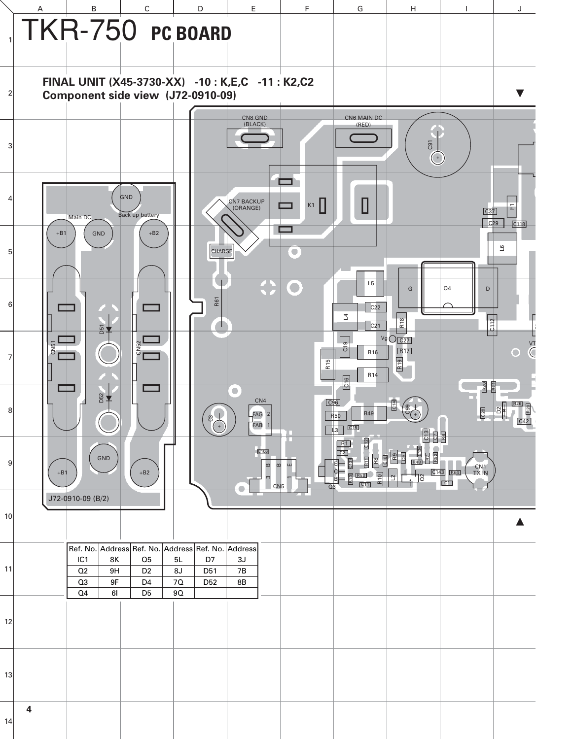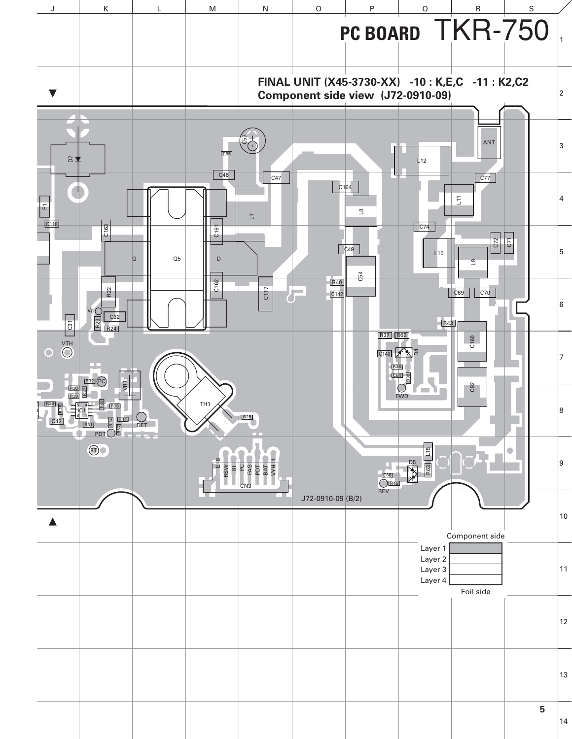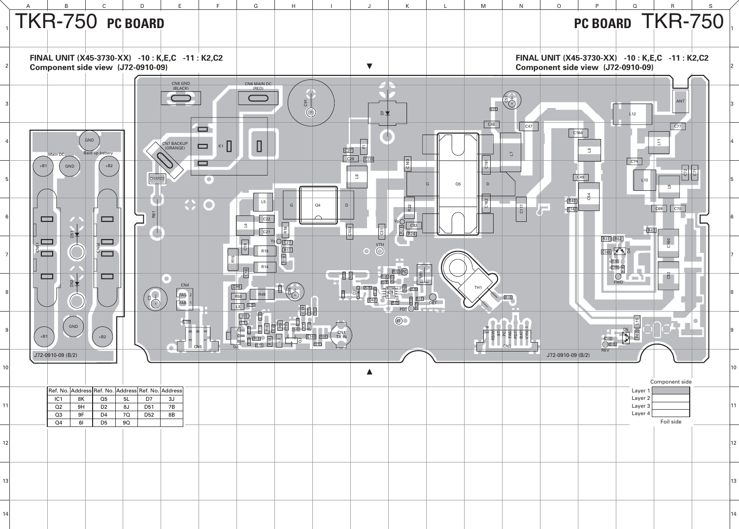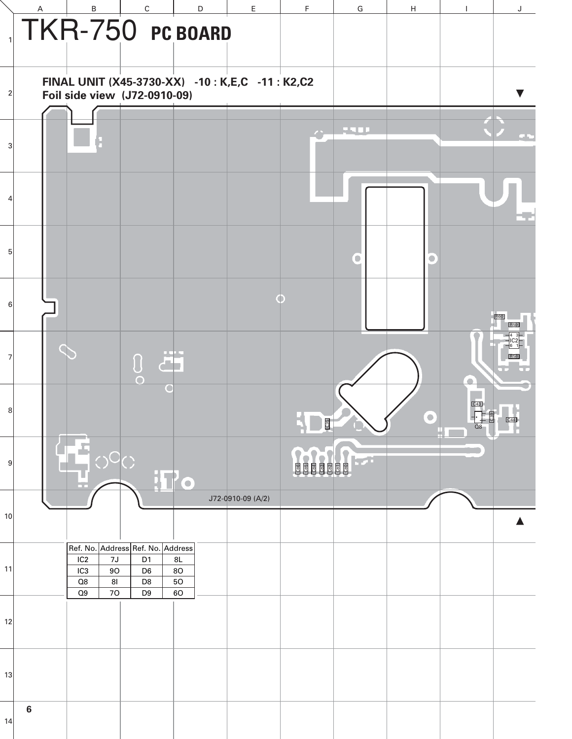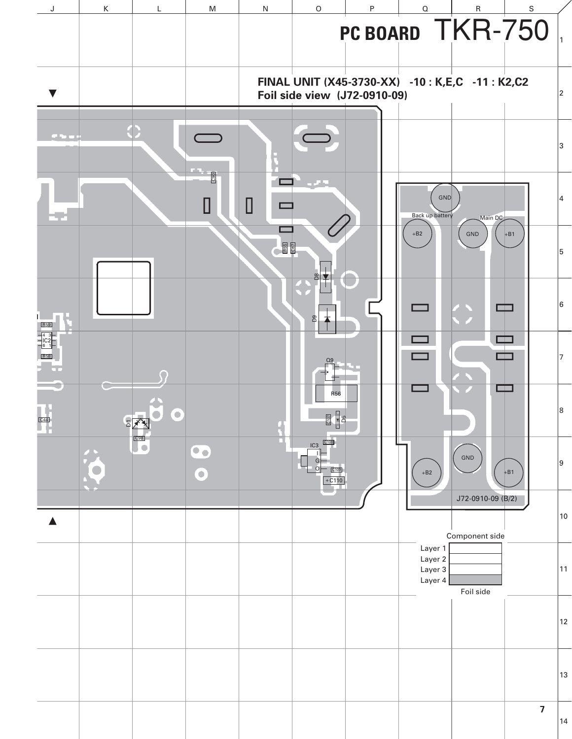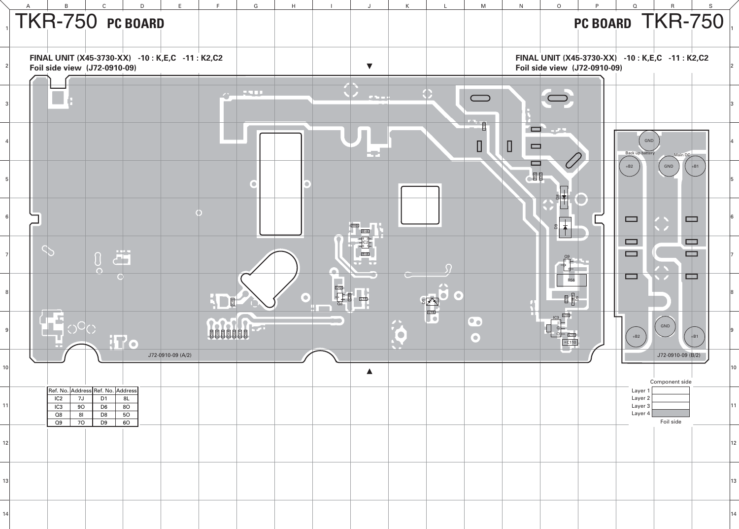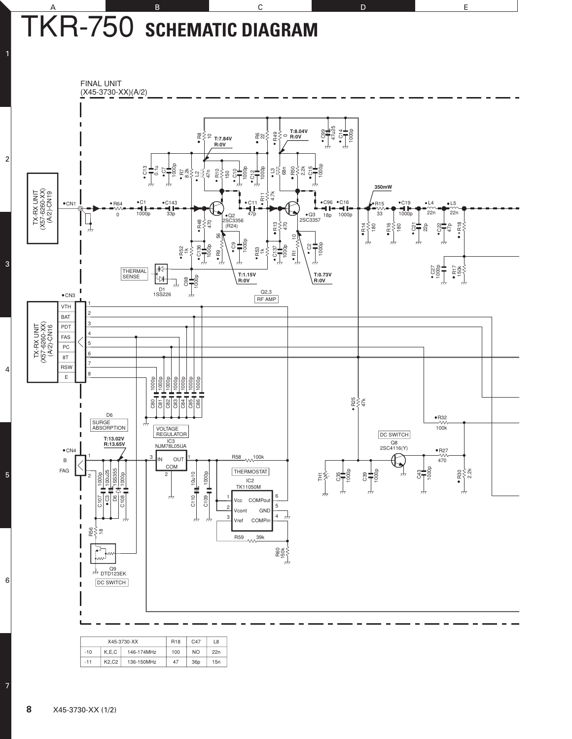### A B B C D D E TKR-750 **SCHEMATIC DIAGRAM**



| $-10$ | K.E.C | 146-174MHz | 100 | N <sub>O</sub> | 22n |  |
|-------|-------|------------|-----|----------------|-----|--|
| $-11$ | K2.C2 | 136-150MHz | 47  | 36p            | 15n |  |

7

6

5

4

3

2

1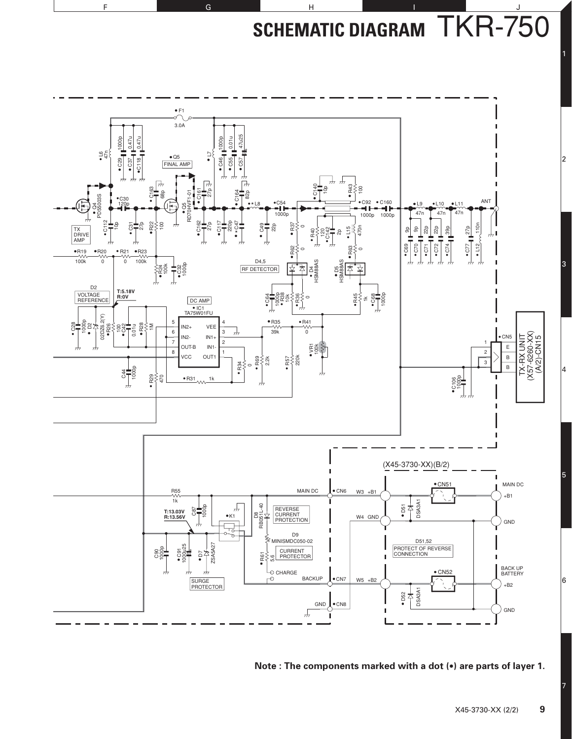**SCHEMATIC DIAGRAM** TKR-750



F G G H I I J

**Note : The components marked with a dot (•) are parts of layer 1.**

7

1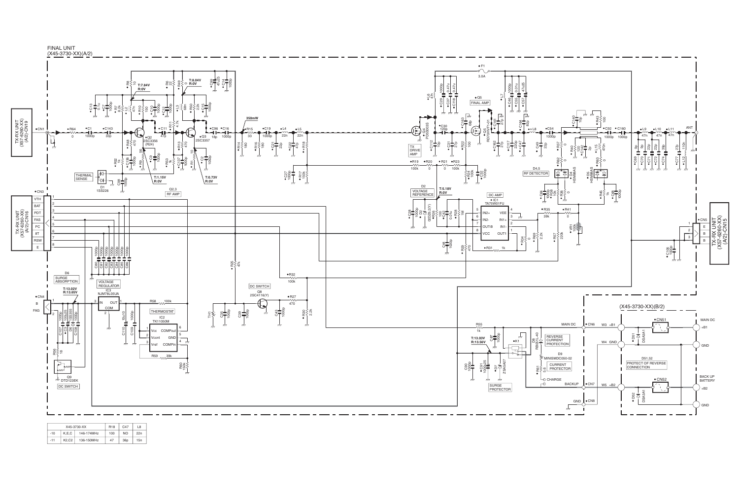FINAL UNIT



|       |       | X45-3730-XX | <b>R18</b> | C <sub>47</sub> | L <sub>8</sub> |
|-------|-------|-------------|------------|-----------------|----------------|
| $-10$ | K.E.C | 146-174MHz  | 100        | <b>NO</b>       | 22n            |
| $-11$ | K2.C2 | 136-150MHz  | 47         | 36 <sub>D</sub> | 15n            |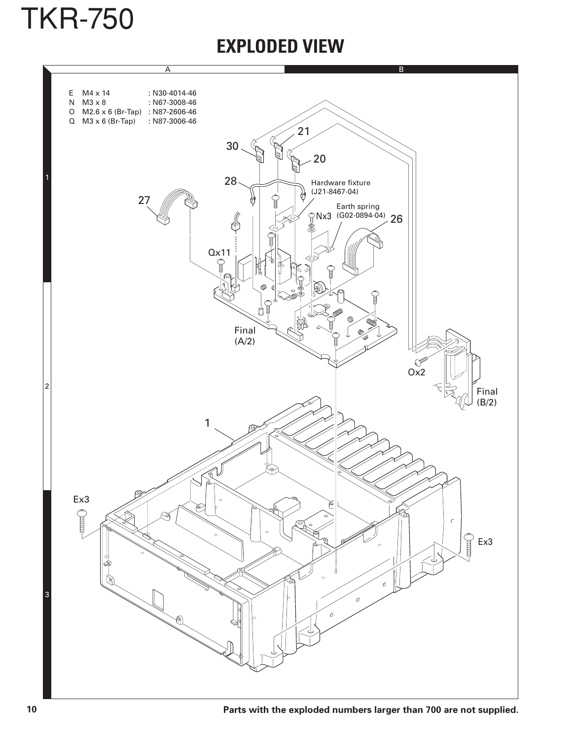

### **EXPLODED VIEW**

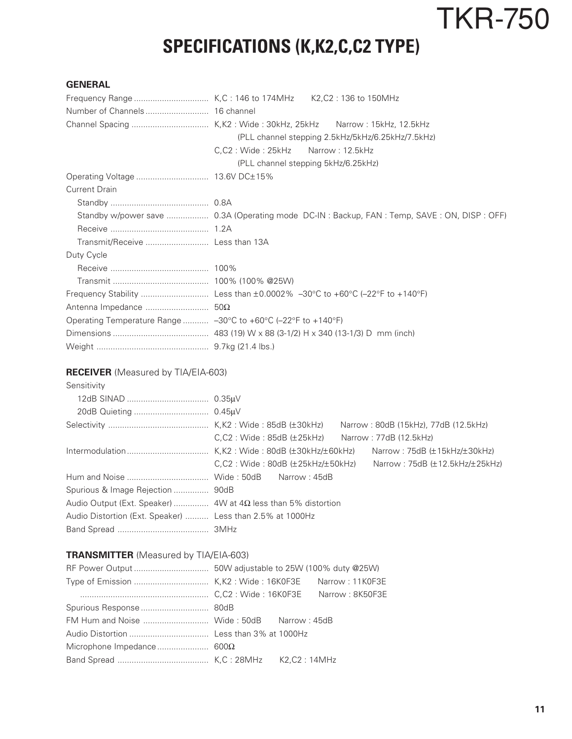# TKR-750

## **SPECIFICATIONS (K,K2,C,C2 TYPE)**

#### **GENERAL**

|                                                               | (PLL channel stepping 2.5kHz/5kHz/6.25kHz/7.5kHz)                                         |
|---------------------------------------------------------------|-------------------------------------------------------------------------------------------|
|                                                               | C,C2: Wide: 25kHz Narrow: 12.5kHz                                                         |
|                                                               | (PLL channel stepping 5kHz/6.25kHz)                                                       |
|                                                               |                                                                                           |
| <b>Current Drain</b>                                          |                                                                                           |
|                                                               |                                                                                           |
|                                                               | Standby w/power save  0.3A (Operating mode DC-IN: Backup, FAN: Temp, SAVE: ON, DISP: OFF) |
|                                                               |                                                                                           |
|                                                               |                                                                                           |
| Duty Cycle                                                    |                                                                                           |
|                                                               |                                                                                           |
|                                                               |                                                                                           |
|                                                               |                                                                                           |
|                                                               |                                                                                           |
| Operating Temperature Range  -30°C to +60°C (-22°F to +140°F) |                                                                                           |
|                                                               |                                                                                           |
|                                                               |                                                                                           |

#### **RECEIVER** (Measured by TIA/EIA-603)

| Sensitivity                                                          |                                                                                  |
|----------------------------------------------------------------------|----------------------------------------------------------------------------------|
|                                                                      |                                                                                  |
|                                                                      |                                                                                  |
|                                                                      | Narrow: 80dB (15kHz), 77dB (12.5kHz)                                             |
|                                                                      | C.C2: Wide:85dB (±25kHz)<br>Narrow: 77dB (12.5kHz)                               |
|                                                                      | Narrow: 75dB $(\pm 15kHz/\pm 30kHz)$                                             |
|                                                                      | C.C2: Wide: 80dB (±25kHz/±50kHz)<br>Narrow: $75dB$ ( $\pm$ 12.5kHz/ $\pm$ 25kHz) |
|                                                                      |                                                                                  |
| Spurious & Image Rejection  90dB                                     |                                                                                  |
| Audio Output (Ext. Speaker)  4W at $4\Omega$ less than 5% distortion |                                                                                  |
| Audio Distortion (Ext. Speaker)  Less than 2.5% at 1000Hz            |                                                                                  |
|                                                                      |                                                                                  |

#### **TRANSMITTER** (Measured by TIA/EIA-603)

|  | FM Hum and Noise  Wide: 50dB Narrow: 45dB |
|--|-------------------------------------------|